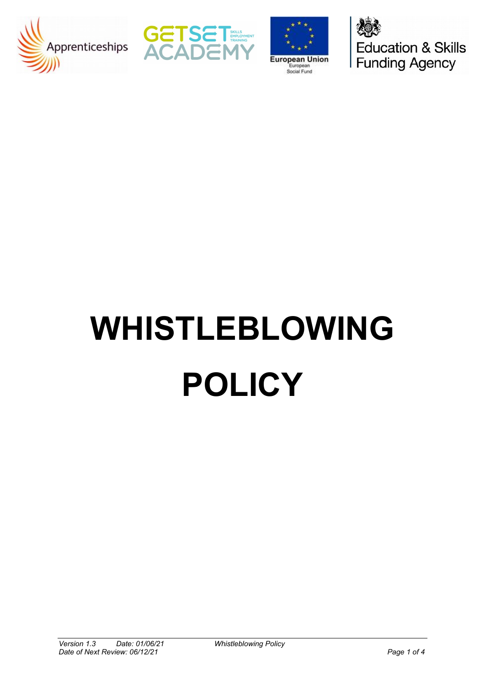





**Education & Skills** Funding Agency

# **WHISTLEBLOWING POLICY**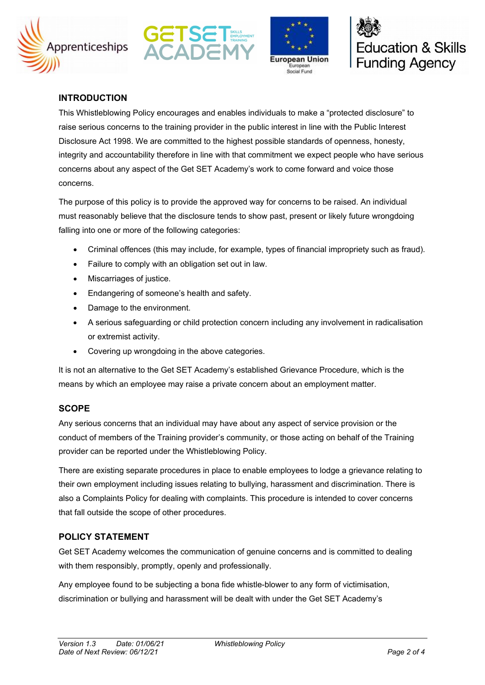







# **INTRODUCTION**

This Whistleblowing Policy encourages and enables individuals to make a "protected disclosure" to raise serious concerns to the training provider in the public interest in line with the Public Interest Disclosure Act 1998. We are committed to the highest possible standards of openness, honesty, integrity and accountability therefore in line with that commitment we expect people who have serious concerns about any aspect of the Get SET Academy's work to come forward and voice those concerns.

The purpose of this policy is to provide the approved way for concerns to be raised. An individual must reasonably believe that the disclosure tends to show past, present or likely future wrongdoing falling into one or more of the following categories:

- Criminal offences (this may include, for example, types of financial impropriety such as fraud).
- Failure to comply with an obligation set out in law.
- Miscarriages of justice.
- Endangering of someone's health and safety.
- Damage to the environment.
- A serious safeguarding or child protection concern including any involvement in radicalisation or extremist activity.
- Covering up wrongdoing in the above categories.

It is not an alternative to the Get SET Academy's established Grievance Procedure, which is the means by which an employee may raise a private concern about an employment matter.

### **SCOPE**

Any serious concerns that an individual may have about any aspect of service provision or the conduct of members of the Training provider's community, or those acting on behalf of the Training provider can be reported under the Whistleblowing Policy.

There are existing separate procedures in place to enable employees to lodge a grievance relating to their own employment including issues relating to bullying, harassment and discrimination. There is also a Complaints Policy for dealing with complaints. This procedure is intended to cover concerns that fall outside the scope of other procedures.

## **POLICY STATEMENT**

Get SET Academy welcomes the communication of genuine concerns and is committed to dealing with them responsibly, promptly, openly and professionally.

Any employee found to be subjecting a bona fide whistle-blower to any form of victimisation, discrimination or bullying and harassment will be dealt with under the Get SET Academy's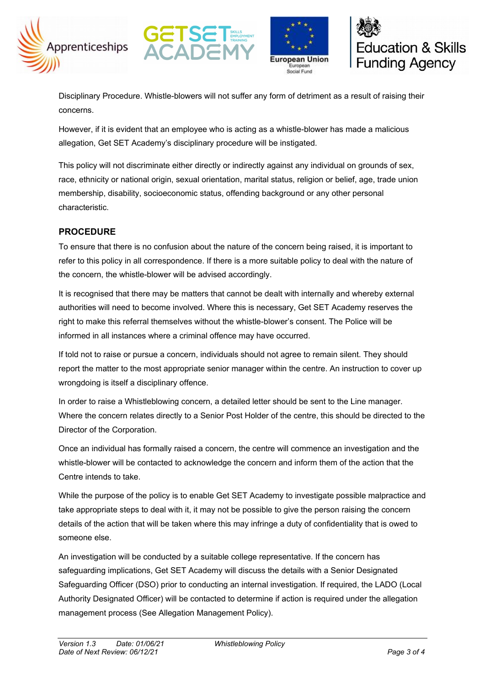







Disciplinary Procedure. Whistle-blowers will not suffer any form of detriment as a result of raising their concerns.

However, if it is evident that an employee who is acting as a whistle-blower has made a malicious allegation, Get SET Academy's disciplinary procedure will be instigated.

This policy will not discriminate either directly or indirectly against any individual on grounds of sex, race, ethnicity or national origin, sexual orientation, marital status, religion or belief, age, trade union membership, disability, socioeconomic status, offending background or any other personal characteristic.

# **PROCEDURE**

To ensure that there is no confusion about the nature of the concern being raised, it is important to refer to this policy in all correspondence. If there is a more suitable policy to deal with the nature of the concern, the whistle-blower will be advised accordingly.

It is recognised that there may be matters that cannot be dealt with internally and whereby external authorities will need to become involved. Where this is necessary, Get SET Academy reserves the right to make this referral themselves without the whistle-blower's consent. The Police will be informed in all instances where a criminal offence may have occurred.

If told not to raise or pursue a concern, individuals should not agree to remain silent. They should report the matter to the most appropriate senior manager within the centre. An instruction to cover up wrongdoing is itself a disciplinary offence.

In order to raise a Whistleblowing concern, a detailed letter should be sent to the Line manager. Where the concern relates directly to a Senior Post Holder of the centre, this should be directed to the Director of the Corporation.

Once an individual has formally raised a concern, the centre will commence an investigation and the whistle-blower will be contacted to acknowledge the concern and inform them of the action that the Centre intends to take.

While the purpose of the policy is to enable Get SET Academy to investigate possible malpractice and take appropriate steps to deal with it, it may not be possible to give the person raising the concern details of the action that will be taken where this may infringe a duty of confidentiality that is owed to someone else.

An investigation will be conducted by a suitable college representative. If the concern has safeguarding implications, Get SET Academy will discuss the details with a Senior Designated Safeguarding Officer (DSO) prior to conducting an internal investigation. If required, the LADO (Local Authority Designated Officer) will be contacted to determine if action is required under the allegation management process (See Allegation Management Policy).